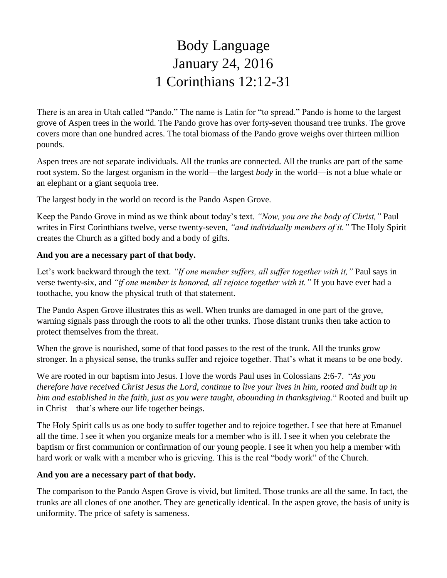# Body Language January 24, 2016 1 Corinthians 12:12-31

There is an area in Utah called "Pando." The name is Latin for "to spread." Pando is home to the largest grove of Aspen trees in the world. The Pando grove has over forty-seven thousand tree trunks. The grove covers more than one hundred acres. The total biomass of the Pando grove weighs over thirteen million pounds.

Aspen trees are not separate individuals. All the trunks are connected. All the trunks are part of the same root system. So the largest organism in the world—the largest *body* in the world—is not a blue whale or an elephant or a giant sequoia tree.

The largest body in the world on record is the Pando Aspen Grove.

Keep the Pando Grove in mind as we think about today's text. *"Now, you are the body of Christ,"* Paul writes in First Corinthians twelve, verse twenty-seven, *"and individually members of it."* The Holy Spirit creates the Church as a gifted body and a body of gifts.

### **And you are a necessary part of that body.**

Let's work backward through the text. *"If one member suffers, all suffer together with it,"* Paul says in verse twenty-six, and *"if one member is honored, all rejoice together with it."* If you have ever had a toothache, you know the physical truth of that statement.

The Pando Aspen Grove illustrates this as well. When trunks are damaged in one part of the grove, warning signals pass through the roots to all the other trunks. Those distant trunks then take action to protect themselves from the threat.

When the grove is nourished, some of that food passes to the rest of the trunk. All the trunks grow stronger. In a physical sense, the trunks suffer and rejoice together. That's what it means to be one body.

We are rooted in our baptism into Jesus. I love the words Paul uses in Colossians 2:6-7. "*As you therefore have received Christ Jesus the Lord, continue to live your lives in him, rooted and built up in him and established in the faith, just as you were taught, abounding in thanksgiving.*" Rooted and built up in Christ—that's where our life together beings.

The Holy Spirit calls us as one body to suffer together and to rejoice together. I see that here at Emanuel all the time. I see it when you organize meals for a member who is ill. I see it when you celebrate the baptism or first communion or confirmation of our young people. I see it when you help a member with hard work or walk with a member who is grieving. This is the real "body work" of the Church.

#### **And you are a necessary part of that body.**

The comparison to the Pando Aspen Grove is vivid, but limited. Those trunks are all the same. In fact, the trunks are all clones of one another. They are genetically identical. In the aspen grove, the basis of unity is uniformity. The price of safety is sameness.